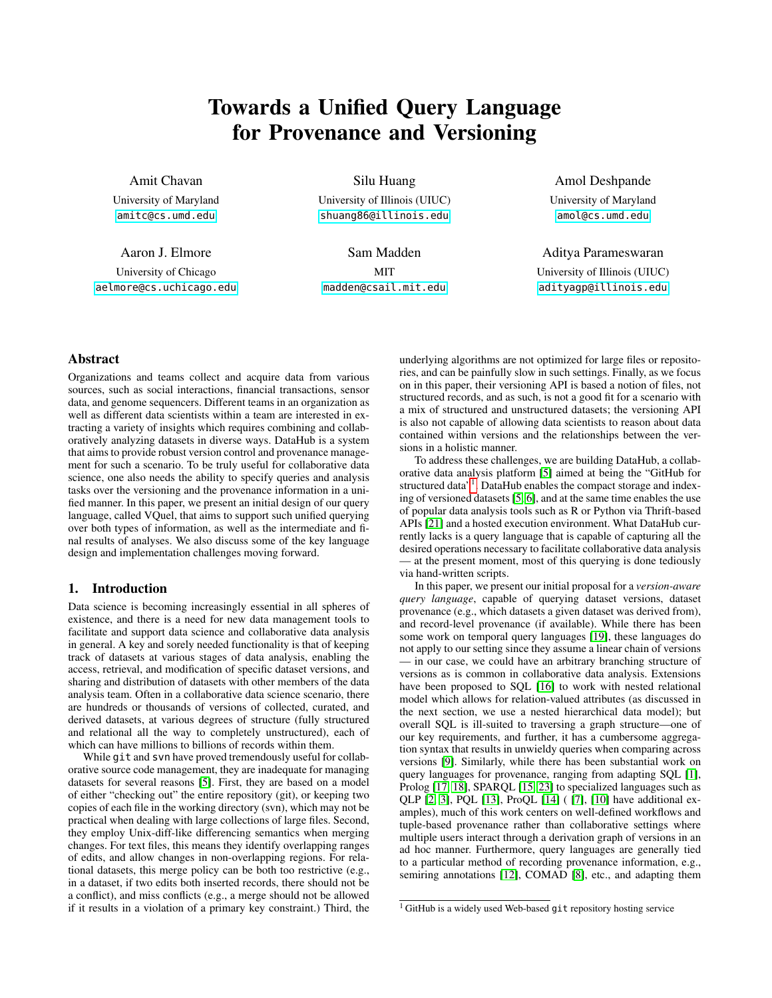# Towards a Unified Query Language for Provenance and Versioning

Amit Chavan

University of Maryland <amitc@cs.umd.edu>

Aaron J. Elmore

University of Chicago <aelmore@cs.uchicago.edu>

Silu Huang University of Illinois (UIUC) <shuang86@illinois.edu>

Sam Madden **MIT** <madden@csail.mit.edu> Amol Deshpande

University of Maryland <amol@cs.umd.edu>

Aditya Parameswaran

University of Illinois (UIUC) <adityagp@illinois.edu>

# Abstract

Organizations and teams collect and acquire data from various sources, such as social interactions, financial transactions, sensor data, and genome sequencers. Different teams in an organization as well as different data scientists within a team are interested in extracting a variety of insights which requires combining and collaboratively analyzing datasets in diverse ways. DataHub is a system that aims to provide robust version control and provenance management for such a scenario. To be truly useful for collaborative data science, one also needs the ability to specify queries and analysis tasks over the versioning and the provenance information in a unified manner. In this paper, we present an initial design of our query language, called VQuel, that aims to support such unified querying over both types of information, as well as the intermediate and final results of analyses. We also discuss some of the key language design and implementation challenges moving forward.

# 1. Introduction

Data science is becoming increasingly essential in all spheres of existence, and there is a need for new data management tools to facilitate and support data science and collaborative data analysis in general. A key and sorely needed functionality is that of keeping track of datasets at various stages of data analysis, enabling the access, retrieval, and modification of specific dataset versions, and sharing and distribution of datasets with other members of the data analysis team. Often in a collaborative data science scenario, there are hundreds or thousands of versions of collected, curated, and derived datasets, at various degrees of structure (fully structured and relational all the way to completely unstructured), each of which can have millions to billions of records within them.

While  $q$  it and svn have proved tremendously useful for collaborative source code management, they are inadequate for managing datasets for several reasons [\[5\]](#page-5-0). First, they are based on a model of either "checking out" the entire repository (git), or keeping two copies of each file in the working directory (svn), which may not be practical when dealing with large collections of large files. Second, they employ Unix-diff-like differencing semantics when merging changes. For text files, this means they identify overlapping ranges of edits, and allow changes in non-overlapping regions. For relational datasets, this merge policy can be both too restrictive (e.g., in a dataset, if two edits both inserted records, there should not be a conflict), and miss conflicts (e.g., a merge should not be allowed if it results in a violation of a primary key constraint.) Third, the underlying algorithms are not optimized for large files or repositories, and can be painfully slow in such settings. Finally, as we focus on in this paper, their versioning API is based a notion of files, not structured records, and as such, is not a good fit for a scenario with a mix of structured and unstructured datasets; the versioning API is also not capable of allowing data scientists to reason about data contained within versions and the relationships between the versions in a holistic manner.

To address these challenges, we are building DataHub, a collaborative data analysis platform [\[5\]](#page-5-0) aimed at being the "GitHub for structured data"<sup>[1](#page-0-0)</sup>. DataHub enables the compact storage and indexing of versioned datasets [\[5,](#page-5-0) [6\]](#page-5-1), and at the same time enables the use of popular data analysis tools such as R or Python via Thrift-based APIs [\[21\]](#page-5-2) and a hosted execution environment. What DataHub currently lacks is a query language that is capable of capturing all the desired operations necessary to facilitate collaborative data analysis — at the present moment, most of this querying is done tediously via hand-written scripts.

In this paper, we present our initial proposal for a *version-aware query language*, capable of querying dataset versions, dataset provenance (e.g., which datasets a given dataset was derived from), and record-level provenance (if available). While there has been some work on temporal query languages [\[19\]](#page-5-3), these languages do not apply to our setting since they assume a linear chain of versions — in our case, we could have an arbitrary branching structure of versions as is common in collaborative data analysis. Extensions have been proposed to SQL [\[16\]](#page-5-4) to work with nested relational model which allows for relation-valued attributes (as discussed in the next section, we use a nested hierarchical data model); but overall SQL is ill-suited to traversing a graph structure—one of our key requirements, and further, it has a cumbersome aggregation syntax that results in unwieldy queries when comparing across versions [\[9\]](#page-5-5). Similarly, while there has been substantial work on query languages for provenance, ranging from adapting SQL [\[1\]](#page-5-6), Prolog [\[17,](#page-5-7) [18\]](#page-5-8), SPARQL [\[15,](#page-5-9) [23\]](#page-5-10) to specialized languages such as QLP [\[2,](#page-5-11) [3\]](#page-5-12), PQL [\[13\]](#page-5-13), ProQL [\[14\]](#page-5-14) ( [\[7\]](#page-5-15), [\[10\]](#page-5-16) have additional examples), much of this work centers on well-defined workflows and tuple-based provenance rather than collaborative settings where multiple users interact through a derivation graph of versions in an ad hoc manner. Furthermore, query languages are generally tied to a particular method of recording provenance information, e.g., semiring annotations [\[12\]](#page-5-17), COMAD [\[8\]](#page-5-18), etc., and adapting them

<span id="page-0-0"></span><sup>1</sup> GitHub is a widely used Web-based git repository hosting service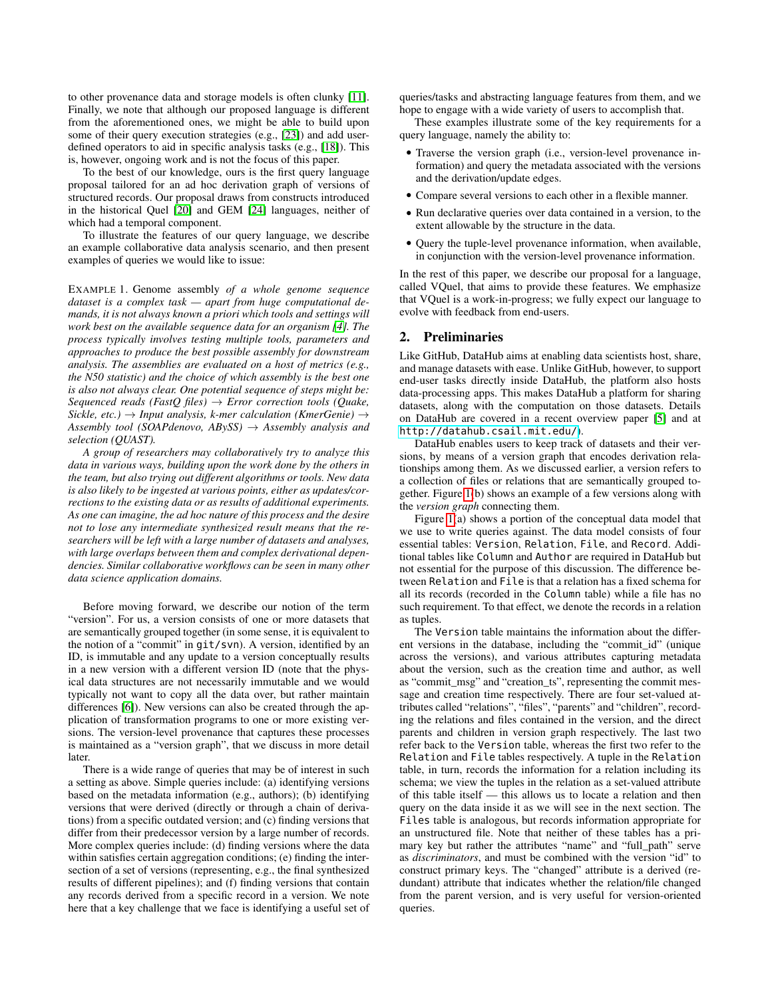to other provenance data and storage models is often clunky [\[11\]](#page-5-19). Finally, we note that although our proposed language is different from the aforementioned ones, we might be able to build upon some of their query execution strategies (e.g., [\[23\]](#page-5-10)) and add userdefined operators to aid in specific analysis tasks (e.g., [\[18\]](#page-5-8)). This is, however, ongoing work and is not the focus of this paper.

To the best of our knowledge, ours is the first query language proposal tailored for an ad hoc derivation graph of versions of structured records. Our proposal draws from constructs introduced in the historical Quel [\[20\]](#page-5-20) and GEM [\[24\]](#page-5-21) languages, neither of which had a temporal component.

To illustrate the features of our query language, we describe an example collaborative data analysis scenario, and then present examples of queries we would like to issue:

EXAMPLE 1. Genome assembly *of a whole genome sequence dataset is a complex task — apart from huge computational demands, it is not always known a priori which tools and settings will work best on the available sequence data for an organism [\[4\]](#page-5-22). The process typically involves testing multiple tools, parameters and approaches to produce the best possible assembly for downstream analysis. The assemblies are evaluated on a host of metrics (e.g., the N50 statistic) and the choice of which assembly is the best one is also not always clear. One potential sequence of steps might be: Sequenced reads (FastQ files)* → *Error correction tools (Quake, Sickle, etc.)* → *Input analysis, k-mer calculation (KmerGenie)* → *Assembly tool (SOAPdenovo, ABySS)* → *Assembly analysis and selection (QUAST).*

*A group of researchers may collaboratively try to analyze this data in various ways, building upon the work done by the others in the team, but also trying out different algorithms or tools. New data is also likely to be ingested at various points, either as updates/corrections to the existing data or as results of additional experiments. As one can imagine, the ad hoc nature of this process and the desire not to lose any intermediate synthesized result means that the researchers will be left with a large number of datasets and analyses, with large overlaps between them and complex derivational dependencies. Similar collaborative workflows can be seen in many other data science application domains.*

Before moving forward, we describe our notion of the term "version". For us, a version consists of one or more datasets that are semantically grouped together (in some sense, it is equivalent to the notion of a "commit" in git/svn). A version, identified by an ID, is immutable and any update to a version conceptually results in a new version with a different version ID (note that the physical data structures are not necessarily immutable and we would typically not want to copy all the data over, but rather maintain differences [\[6\]](#page-5-1)). New versions can also be created through the application of transformation programs to one or more existing versions. The version-level provenance that captures these processes is maintained as a "version graph", that we discuss in more detail later.

There is a wide range of queries that may be of interest in such a setting as above. Simple queries include: (a) identifying versions based on the metadata information (e.g., authors); (b) identifying versions that were derived (directly or through a chain of derivations) from a specific outdated version; and (c) finding versions that differ from their predecessor version by a large number of records. More complex queries include: (d) finding versions where the data within satisfies certain aggregation conditions; (e) finding the intersection of a set of versions (representing, e.g., the final synthesized results of different pipelines); and (f) finding versions that contain any records derived from a specific record in a version. We note here that a key challenge that we face is identifying a useful set of

queries/tasks and abstracting language features from them, and we hope to engage with a wide variety of users to accomplish that.

These examples illustrate some of the key requirements for a query language, namely the ability to:

- Traverse the version graph (i.e., version-level provenance information) and query the metadata associated with the versions and the derivation/update edges.
- Compare several versions to each other in a flexible manner.
- Run declarative queries over data contained in a version, to the extent allowable by the structure in the data.
- Query the tuple-level provenance information, when available, in conjunction with the version-level provenance information.

In the rest of this paper, we describe our proposal for a language, called VQuel, that aims to provide these features. We emphasize that VQuel is a work-in-progress; we fully expect our language to evolve with feedback from end-users.

# 2. Preliminaries

Like GitHub, DataHub aims at enabling data scientists host, share, and manage datasets with ease. Unlike GitHub, however, to support end-user tasks directly inside DataHub, the platform also hosts data-processing apps. This makes DataHub a platform for sharing datasets, along with the computation on those datasets. Details on DataHub are covered in a recent overview paper [\[5\]](#page-5-0) and at <http://datahub.csail.mit.edu/>).

DataHub enables users to keep track of datasets and their versions, by means of a version graph that encodes derivation relationships among them. As we discussed earlier, a version refers to a collection of files or relations that are semantically grouped together. Figure [1\(](#page-2-0)b) shows an example of a few versions along with the *version graph* connecting them.

Figure [1\(](#page-2-0)a) shows a portion of the conceptual data model that we use to write queries against. The data model consists of four essential tables: Version, Relation, File, and Record. Additional tables like Column and Author are required in DataHub but not essential for the purpose of this discussion. The difference between Relation and File is that a relation has a fixed schema for all its records (recorded in the Column table) while a file has no such requirement. To that effect, we denote the records in a relation as tuples.

The Version table maintains the information about the different versions in the database, including the "commit\_id" (unique across the versions), and various attributes capturing metadata about the version, such as the creation time and author, as well as "commit\_msg" and "creation\_ts", representing the commit message and creation time respectively. There are four set-valued attributes called "relations", "files", "parents" and "children", recording the relations and files contained in the version, and the direct parents and children in version graph respectively. The last two refer back to the Version table, whereas the first two refer to the Relation and File tables respectively. A tuple in the Relation table, in turn, records the information for a relation including its schema; we view the tuples in the relation as a set-valued attribute of this table itself — this allows us to locate a relation and then query on the data inside it as we will see in the next section. The Files table is analogous, but records information appropriate for an unstructured file. Note that neither of these tables has a primary key but rather the attributes "name" and "full\_path" serve as *discriminators*, and must be combined with the version "id" to construct primary keys. The "changed" attribute is a derived (redundant) attribute that indicates whether the relation/file changed from the parent version, and is very useful for version-oriented queries.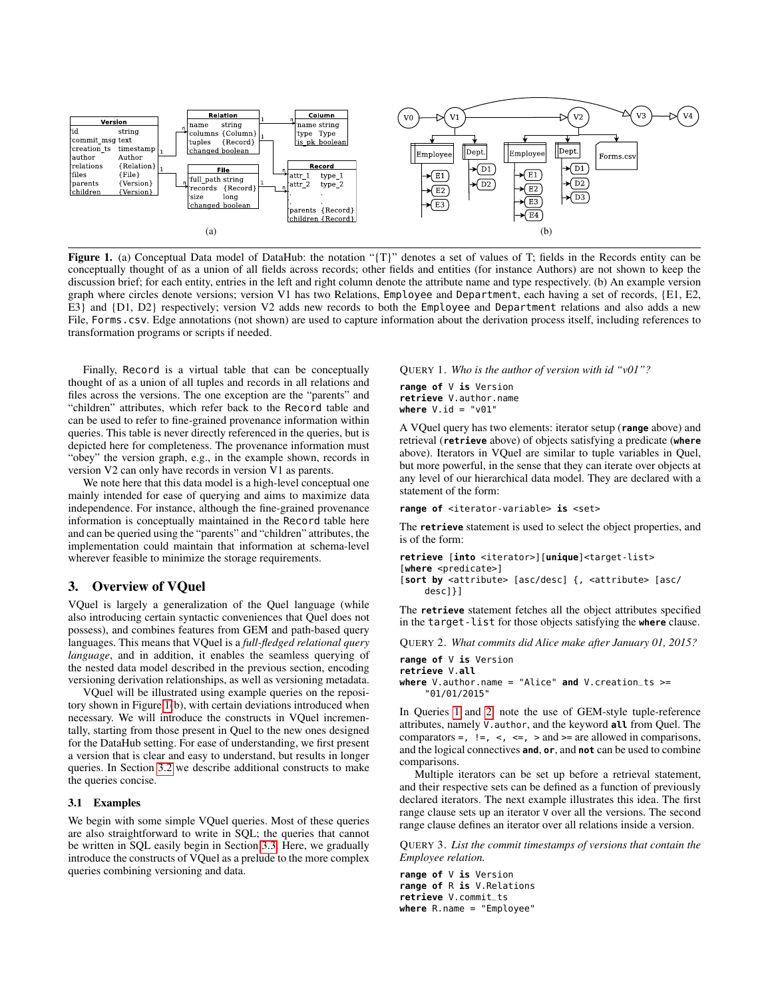

<span id="page-2-0"></span>Figure 1. (a) Conceptual Data model of DataHub: the notation "{T}" denotes a set of values of T; fields in the Records entity can be conceptually thought of as a union of all fields across records; other fields and entities (for instance Authors) are not shown to keep the discussion brief; for each entity, entries in the left and right column denote the attribute name and type respectively. (b) An example version graph where circles denote versions; version V1 has two Relations, Employee and Department, each having a set of records, {E1, E2, E3} and {D1, D2} respectively; version V2 adds new records to both the Employee and Department relations and also adds a new File, Forms.csv. Edge annotations (not shown) are used to capture information about the derivation process itself, including references to transformation programs or scripts if needed.

Finally, Record is a virtual table that can be conceptually thought of as a union of all tuples and records in all relations and files across the versions. The one exception are the "parents" and "children" attributes, which refer back to the Record table and can be used to refer to fine-grained provenance information within queries. This table is never directly referenced in the queries, but is depicted here for completeness. The provenance information must "obey" the version graph, e.g., in the example shown, records in version V2 can only have records in version V1 as parents.

We note here that this data model is a high-level conceptual one mainly intended for ease of querying and aims to maximize data independence. For instance, although the fine-grained provenance information is conceptually maintained in the Record table here and can be queried using the "parents" and "children" attributes, the implementation could maintain that information at schema-level wherever feasible to minimize the storage requirements.

# 3. Overview of VQuel

VQuel is largely a generalization of the Quel language (while also introducing certain syntactic conveniences that Quel does not possess), and combines features from GEM and path-based query languages. This means that VQuel is a *full-fledged relational query language*, and in addition, it enables the seamless querying of the nested data model described in the previous section, encoding versioning derivation relationships, as well as versioning metadata.

VQuel will be illustrated using example queries on the repository shown in Figure [1\(](#page-2-0)b), with certain deviations introduced when necessary. We will introduce the constructs in VQuel incrementally, starting from those present in Quel to the new ones designed for the DataHub setting. For ease of understanding, we first present a version that is clear and easy to understand, but results in longer queries. In Section [3.2](#page-3-0) we describe additional constructs to make the queries concise.

#### 3.1 Examples

We begin with some simple VQuel queries. Most of these queries are also straightforward to write in SQL; the queries that cannot be written in SQL easily begin in Section [3.3.](#page-3-1) Here, we gradually introduce the constructs of VQuel as a prelude to the more complex queries combining versioning and data.

<span id="page-2-1"></span>QUERY 1. *Who is the author of version with id "v01"?*

**range of** V **is** Version **retrieve** V.author.name **where** V.id = "v01"

A VQuel query has two elements: iterator setup (**range** above) and retrieval (**retrieve** above) of objects satisfying a predicate (**where** above). Iterators in VQuel are similar to tuple variables in Quel, but more powerful, in the sense that they can iterate over objects at any level of our hierarchical data model. They are declared with a statement of the form:

range of <iterator-variable> is <set>

The **retrieve** statement is used to select the object properties, and is of the form:

```
retrieve [into <iterator>][unique]<target-list>
[where <predicate>]
[sort by <attribute> [asc/desc] {, <attribute> [asc/
    desc]}]
```
The **retrieve** statement fetches all the object attributes specified in the target-list for those objects satisfying the **where** clause.

<span id="page-2-2"></span>QUERY 2. *What commits did Alice make after January 01, 2015?*

```
range of V is Version
retrieve V.all
where V.author.name = "Alice" and V.creation_ts >=
    "01/01/2015"
```
In Queries [1](#page-2-1) and [2,](#page-2-2) note the use of GEM-style tuple-reference attributes, namely V.author, and the keyword **all** from Quel. The comparators =,  $!=$ ,  $\lt$ ,  $\lt$ =,  $\gt$  and  $\gt$ = are allowed in comparisons, and the logical connectives **and**, **or**, and **not** can be used to combine comparisons.

Multiple iterators can be set up before a retrieval statement, and their respective sets can be defined as a function of previously declared iterators. The next example illustrates this idea. The first range clause sets up an iterator V over all the versions. The second range clause defines an iterator over all relations inside a version.

QUERY 3. *List the commit timestamps of versions that contain the Employee relation.*

**range of** V **is** Version **range of** R **is** V.Relations **retrieve** V.commit\_ts **where** R.name = "Employee"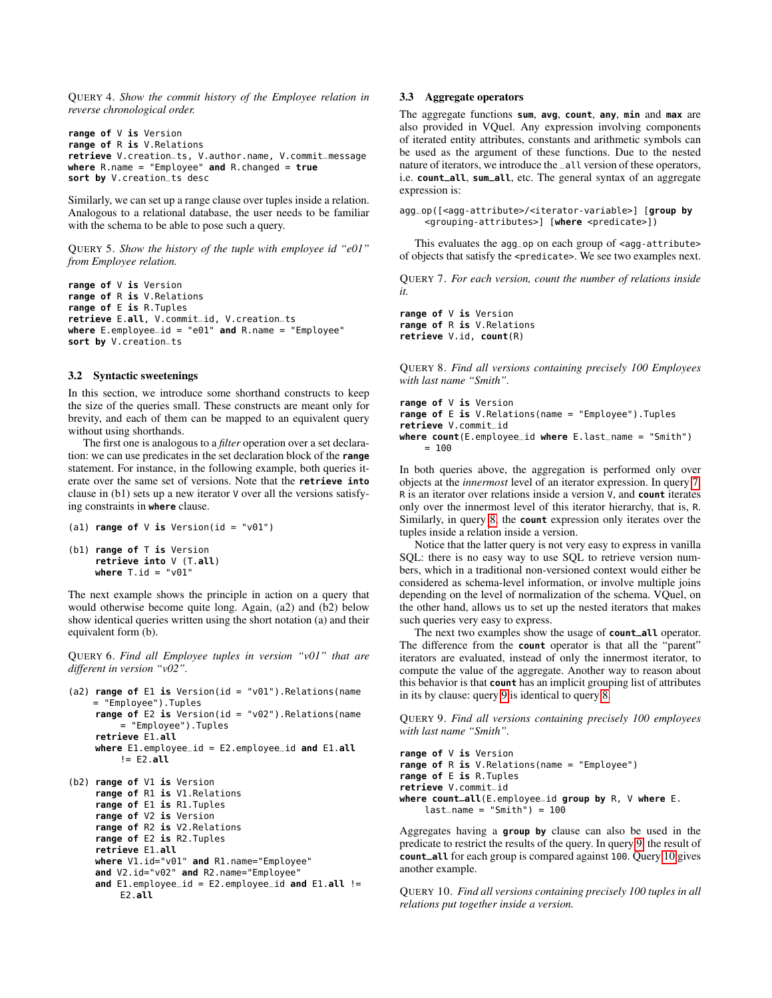QUERY 4. *Show the commit history of the Employee relation in reverse chronological order.*

```
range of V is Version
range of R is V.Relations
retrieve V.creation_ts, V.author.name, V.commit_message
where R.name = "Employee" and R.changed = true
sort by V.creation_ts desc
```
Similarly, we can set up a range clause over tuples inside a relation. Analogous to a relational database, the user needs to be familiar with the schema to be able to pose such a query.

QUERY 5. *Show the history of the tuple with employee id "e01" from Employee relation.*

**range of** V **is** Version **range of** R **is** V.Relations **range of** E **is** R.Tuples **retrieve** E.**all**, V.commit\_id, V.creation\_ts **where** E.employee\_id = "e01" **and** R.name = "Employee" **sort by** V.creation\_ts

## <span id="page-3-0"></span>3.2 Syntactic sweetenings

In this section, we introduce some shorthand constructs to keep the size of the queries small. These constructs are meant only for brevity, and each of them can be mapped to an equivalent query without using shorthands.

The first one is analogous to a *filter* operation over a set declaration: we can use predicates in the set declaration block of the **range** statement. For instance, in the following example, both queries iterate over the same set of versions. Note that the **retrieve into** clause in (b1) sets up a new iterator V over all the versions satisfying constraints in **where** clause.

```
(a1) range of V is Version(id = "v01")
(b1) range of T is Version
    retrieve into V (T.all)
    where T.id = "v01"
```
The next example shows the principle in action on a query that would otherwise become quite long. Again, (a2) and (b2) below show identical queries written using the short notation (a) and their equivalent form (b).

QUERY 6. *Find all Employee tuples in version "v01" that are different in version "v02".*

```
(a2) range of E1 is Version(id = "v01").Relations(name
    = "Employee").Tuples
    range of E2 is Version(id = "v02").Relations(name
         = "Employee").Tuples
    retrieve E1.all
    where E1.employee_id = E2.employee_id and E1.all
         I = F2all
```

```
(b2) range of V1 is Version
    range of R1 is V1.Relations
    range of E1 is R1.Tuples
    range of V2 is Version
    range of R2 is V2.Relations
    range of E2 is R2.Tuples
    retrieve E1.all
    where V1.id="v01" and R1.name="Employee"
    and V2.id="v02" and R2.name="Employee"
    and E1.employee_id = E2.employee_id and E1.all !=
         E2.all
```
### <span id="page-3-1"></span>3.3 Aggregate operators

The aggregate functions **sum**, **avg**, **count**, **any**, **min** and **max** are also provided in VQuel. Any expression involving components of iterated entity attributes, constants and arithmetic symbols can be used as the argument of these functions. Due to the nested nature of iterators, we introduce the \_all version of these operators, i.e. **count\_all**, **sum\_all**, etc. The general syntax of an aggregate expression is:

```
agg_op([<agg-attribute>/<iterator-variable>] [group by
    <grouping-attributes>] [where <predicate>])
```
This evaluates the  $aqq_op$  on each group of  $\leq$  agg-attribute> of objects that satisfy the <predicate>. We see two examples next.

<span id="page-3-2"></span>QUERY 7. *For each version, count the number of relations inside it.*

**range of** V **is** Version **range of** R **is** V.Relations **retrieve** V.id, **count**(R)

<span id="page-3-3"></span>QUERY 8. *Find all versions containing precisely 100 Employees with last name "Smith".*

```
range of V is Version
range of E is V.Relations(name = "Employee").Tuples
retrieve V.commit_id
where count(E.employee_id where E.last_name = "Smith")
    = 100
```
In both queries above, the aggregation is performed only over objects at the *innermost* level of an iterator expression. In query [7,](#page-3-2) R is an iterator over relations inside a version V, and **count** iterates only over the innermost level of this iterator hierarchy, that is, R. Similarly, in query [8,](#page-3-3) the **count** expression only iterates over the tuples inside a relation inside a version.

Notice that the latter query is not very easy to express in vanilla SQL: there is no easy way to use SQL to retrieve version numbers, which in a traditional non-versioned context would either be considered as schema-level information, or involve multiple joins depending on the level of normalization of the schema. VQuel, on the other hand, allows us to set up the nested iterators that makes such queries very easy to express.

The next two examples show the usage of **count\_all** operator. The difference from the **count** operator is that all the "parent" iterators are evaluated, instead of only the innermost iterator, to compute the value of the aggregate. Another way to reason about this behavior is that **count** has an implicit grouping list of attributes in its by clause: query [9](#page-3-4) is identical to query [8.](#page-3-3)

<span id="page-3-4"></span>QUERY 9. *Find all versions containing precisely 100 employees with last name "Smith".*

```
range of V is Version
range of R is V.Relations(name = "Employee")
range of E is R.Tuples
retrieve V.commit_id
where count_all(E.employee_id group by R, V where E.
    last_name = "Smith") = 100
```
Aggregates having a **group by** clause can also be used in the predicate to restrict the results of the query. In query [9,](#page-3-4) the result of **count\_all** for each group is compared against 100. Query [10](#page-3-5) gives another example.

<span id="page-3-5"></span>QUERY 10. *Find all versions containing precisely 100 tuples in all relations put together inside a version.*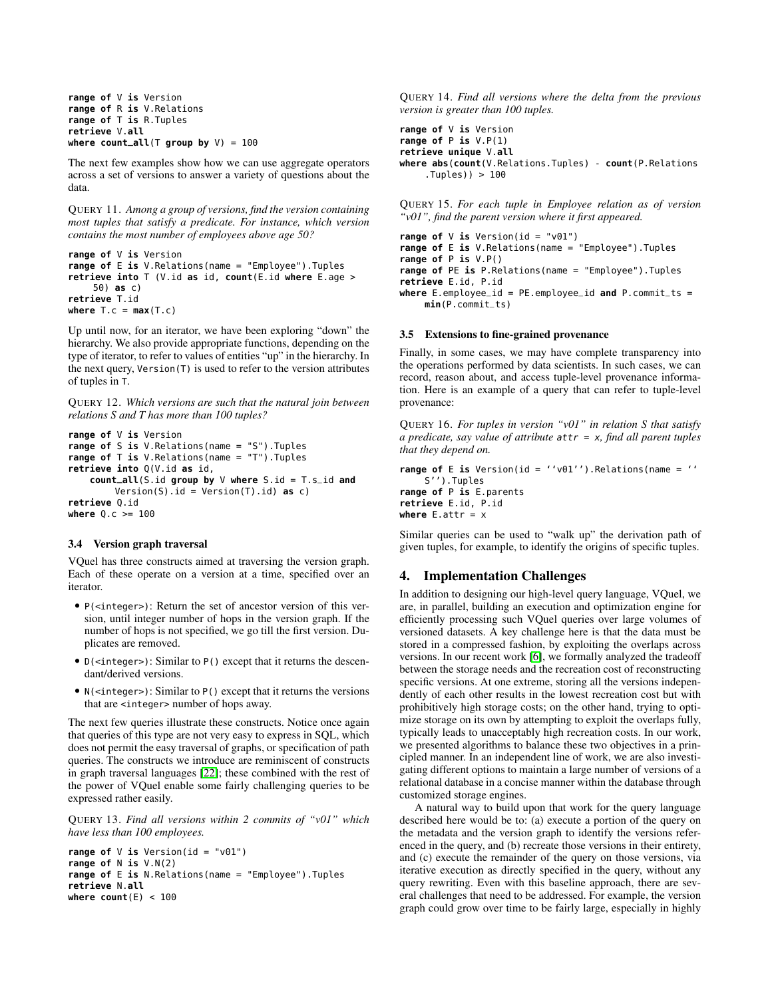```
range of V is Version
range of R is V.Relations
range of T is R.Tuples
retrieve V.all
where count_all(T group by V) = 100
```
The next few examples show how we can use aggregate operators across a set of versions to answer a variety of questions about the data.

QUERY 11. *Among a group of versions, find the version containing most tuples that satisfy a predicate. For instance, which version contains the most number of employees above age 50?*

```
range of V is Version
range of E is V.Relations(name = "Employee").Tuples
retrieve into T (V.id as id, count(E.id where E.age >
     50) as c)
retrieve T.id
where T \cdot c = max(T \cdot c)
```
Up until now, for an iterator, we have been exploring "down" the hierarchy. We also provide appropriate functions, depending on the type of iterator, to refer to values of entities "up" in the hierarchy. In the next query, Version(T) is used to refer to the version attributes of tuples in T.

QUERY 12. *Which versions are such that the natural join between relations S and T has more than 100 tuples?*

```
range of V is Version
range of S is V.Relations(name = "S").Tuples
range of T is V.Relations(name = "T").Tuples
retrieve into Q(V.id as id,
    count_all(S.id group by V where S.id = T.s_id and
        Version(S).id = Version(T).id) as c)
retrieve Q.id
where Q.c >= 100
```
#### 3.4 Version graph traversal

VQuel has three constructs aimed at traversing the version graph. Each of these operate on a version at a time, specified over an iterator.

- P(<integer>): Return the set of ancestor version of this version, until integer number of hops in the version graph. If the number of hops is not specified, we go till the first version. Duplicates are removed.
- D(<integer>): Similar to P() except that it returns the descendant/derived versions.
- N(<integer>): Similar to P() except that it returns the versions that are <integer> number of hops away.

The next few queries illustrate these constructs. Notice once again that queries of this type are not very easy to express in SQL, which does not permit the easy traversal of graphs, or specification of path queries. The constructs we introduce are reminiscent of constructs in graph traversal languages [\[22\]](#page-5-23); these combined with the rest of the power of VQuel enable some fairly challenging queries to be expressed rather easily.

QUERY 13. *Find all versions within 2 commits of "v01" which have less than 100 employees.*

```
range of V is Version(id = "v01")
range of N is V.N(2)
range of E is N.Relations(name = "Employee").Tuples
retrieve N.all
where count(E) < 100
```
QUERY 14. *Find all versions where the delta from the previous version is greater than 100 tuples.*

```
range of V is Version
range of P is V.P(1)
retrieve unique V.all
where abs(count(V.Relations.Tuples) - count(P.Relations
    .Tuples)) > 100
```
QUERY 15. *For each tuple in Employee relation as of version "v01", find the parent version where it first appeared.*

```
range of V is Version(id = "v01")
range of E is V.Relations(name = "Employee").Tuples
range of P is V.P()
range of PE is P.Relations(name = "Employee").Tuples
retrieve E.id, P.id
where E.employee_id = PE.employee_id and P.commit_ts =
    min(P.commit_ts)
```
#### 3.5 Extensions to fine-grained provenance

Finally, in some cases, we may have complete transparency into the operations performed by data scientists. In such cases, we can record, reason about, and access tuple-level provenance information. Here is an example of a query that can refer to tuple-level provenance:

QUERY 16. *For tuples in version "v01" in relation S that satisfy a predicate, say value of attribute* attr = x*, find all parent tuples that they depend on.*

```
range of E is Version(id = ''v01'').Relations(name = ''
    S'').Tuples
range of P is E.parents
retrieve E.id, P.id
where E. attr = x
```
Similar queries can be used to "walk up" the derivation path of given tuples, for example, to identify the origins of specific tuples.

## 4. Implementation Challenges

In addition to designing our high-level query language, VQuel, we are, in parallel, building an execution and optimization engine for efficiently processing such VQuel queries over large volumes of versioned datasets. A key challenge here is that the data must be stored in a compressed fashion, by exploiting the overlaps across versions. In our recent work [\[6\]](#page-5-1), we formally analyzed the tradeoff between the storage needs and the recreation cost of reconstructing specific versions. At one extreme, storing all the versions independently of each other results in the lowest recreation cost but with prohibitively high storage costs; on the other hand, trying to optimize storage on its own by attempting to exploit the overlaps fully, typically leads to unacceptably high recreation costs. In our work, we presented algorithms to balance these two objectives in a principled manner. In an independent line of work, we are also investigating different options to maintain a large number of versions of a relational database in a concise manner within the database through customized storage engines.

A natural way to build upon that work for the query language described here would be to: (a) execute a portion of the query on the metadata and the version graph to identify the versions referenced in the query, and (b) recreate those versions in their entirety, and (c) execute the remainder of the query on those versions, via iterative execution as directly specified in the query, without any query rewriting. Even with this baseline approach, there are several challenges that need to be addressed. For example, the version graph could grow over time to be fairly large, especially in highly